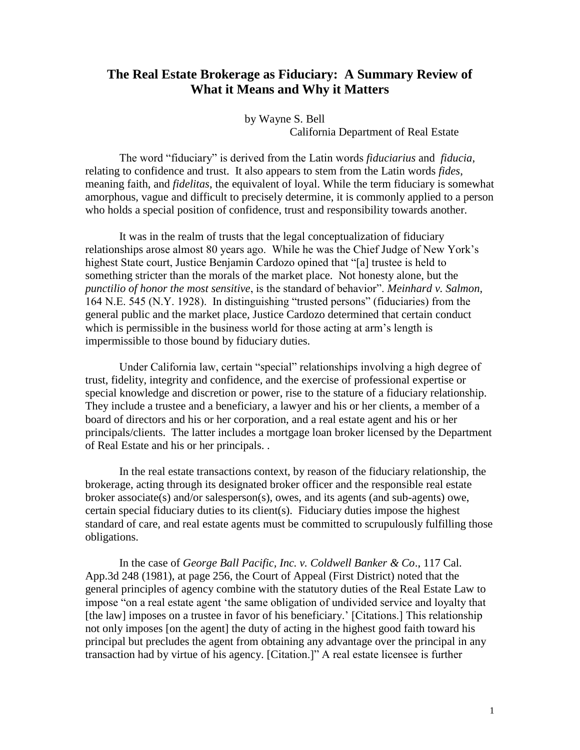## **The Real Estate Brokerage as Fiduciary: A Summary Review of What it Means and Why it Matters**

 by Wayne S. Bell California Department of Real Estate

The word "fiduciary" is derived from the Latin words *fiduciarius* and *fiducia*, relating to confidence and trust. It also appears to stem from the Latin words *fides*, meaning faith, and *fidelitas*, the equivalent of loyal. While the term fiduciary is somewhat amorphous, vague and difficult to precisely determine, it is commonly applied to a person who holds a special position of confidence, trust and responsibility towards another.

It was in the realm of trusts that the legal conceptualization of fiduciary relationships arose almost 80 years ago. While he was the Chief Judge of New York's highest State court, Justice Benjamin Cardozo opined that "[a] trustee is held to something stricter than the morals of the market place. Not honesty alone, but the *punctilio of honor the most sensitive*, is the standard of behavior". *Meinhard v. Salmon*, 164 N.E. 545 (N.Y. 1928). In distinguishing "trusted persons" (fiduciaries) from the general public and the market place, Justice Cardozo determined that certain conduct which is permissible in the business world for those acting at arm's length is impermissible to those bound by fiduciary duties.

Under California law, certain "special" relationships involving a high degree of trust, fidelity, integrity and confidence, and the exercise of professional expertise or special knowledge and discretion or power, rise to the stature of a fiduciary relationship. They include a trustee and a beneficiary, a lawyer and his or her clients, a member of a board of directors and his or her corporation, and a real estate agent and his or her principals/clients. The latter includes a mortgage loan broker licensed by the Department of Real Estate and his or her principals. .

In the real estate transactions context, by reason of the fiduciary relationship, the brokerage, acting through its designated broker officer and the responsible real estate broker associate(s) and/or salesperson(s), owes, and its agents (and sub-agents) owe, certain special fiduciary duties to its client(s). Fiduciary duties impose the highest standard of care, and real estate agents must be committed to scrupulously fulfilling those obligations.

In the case of *George Ball Pacific, Inc. v. Coldwell Banker & Co*., 117 Cal. App.3d 248 (1981), at page 256, the Court of Appeal (First District) noted that the general principles of agency combine with the statutory duties of the Real Estate Law to impose "on a real estate agent 'the same obligation of undivided service and loyalty that [the law] imposes on a trustee in favor of his beneficiary.' [Citations.] This relationship not only imposes [on the agent] the duty of acting in the highest good faith toward his principal but precludes the agent from obtaining any advantage over the principal in any transaction had by virtue of his agency. [Citation.]" A real estate licensee is further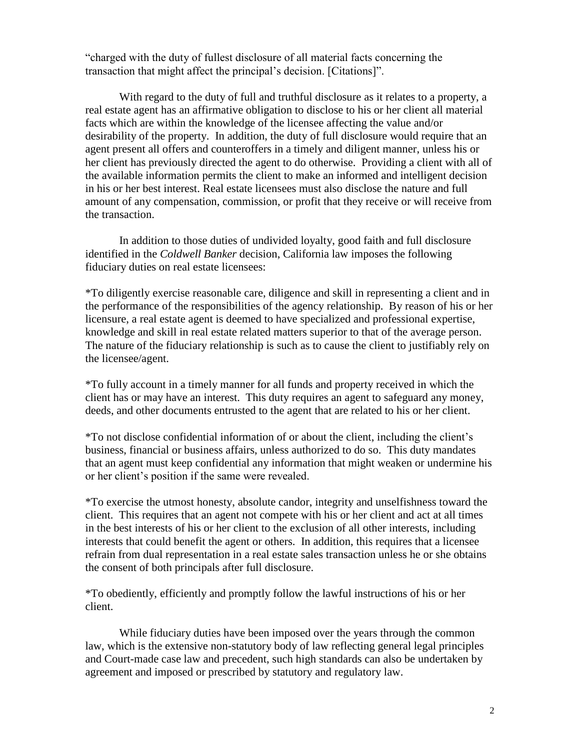"charged with the duty of fullest disclosure of all material facts concerning the transaction that might affect the principal's decision. [Citations]".

With regard to the duty of full and truthful disclosure as it relates to a property, a real estate agent has an affirmative obligation to disclose to his or her client all material facts which are within the knowledge of the licensee affecting the value and/or desirability of the property. In addition, the duty of full disclosure would require that an agent present all offers and counteroffers in a timely and diligent manner, unless his or her client has previously directed the agent to do otherwise. Providing a client with all of the available information permits the client to make an informed and intelligent decision in his or her best interest. Real estate licensees must also disclose the nature and full amount of any compensation, commission, or profit that they receive or will receive from the transaction.

In addition to those duties of undivided loyalty, good faith and full disclosure identified in the *Coldwell Banker* decision, California law imposes the following fiduciary duties on real estate licensees:

\*To diligently exercise reasonable care, diligence and skill in representing a client and in the performance of the responsibilities of the agency relationship. By reason of his or her licensure, a real estate agent is deemed to have specialized and professional expertise, knowledge and skill in real estate related matters superior to that of the average person. The nature of the fiduciary relationship is such as to cause the client to justifiably rely on the licensee/agent.

\*To fully account in a timely manner for all funds and property received in which the client has or may have an interest. This duty requires an agent to safeguard any money, deeds, and other documents entrusted to the agent that are related to his or her client.

\*To not disclose confidential information of or about the client, including the client's business, financial or business affairs, unless authorized to do so. This duty mandates that an agent must keep confidential any information that might weaken or undermine his or her client's position if the same were revealed.

\*To exercise the utmost honesty, absolute candor, integrity and unselfishness toward the client. This requires that an agent not compete with his or her client and act at all times in the best interests of his or her client to the exclusion of all other interests, including interests that could benefit the agent or others. In addition, this requires that a licensee refrain from dual representation in a real estate sales transaction unless he or she obtains the consent of both principals after full disclosure.

\*To obediently, efficiently and promptly follow the lawful instructions of his or her client.

While fiduciary duties have been imposed over the years through the common law, which is the extensive non-statutory body of law reflecting general legal principles and Court-made case law and precedent, such high standards can also be undertaken by agreement and imposed or prescribed by statutory and regulatory law.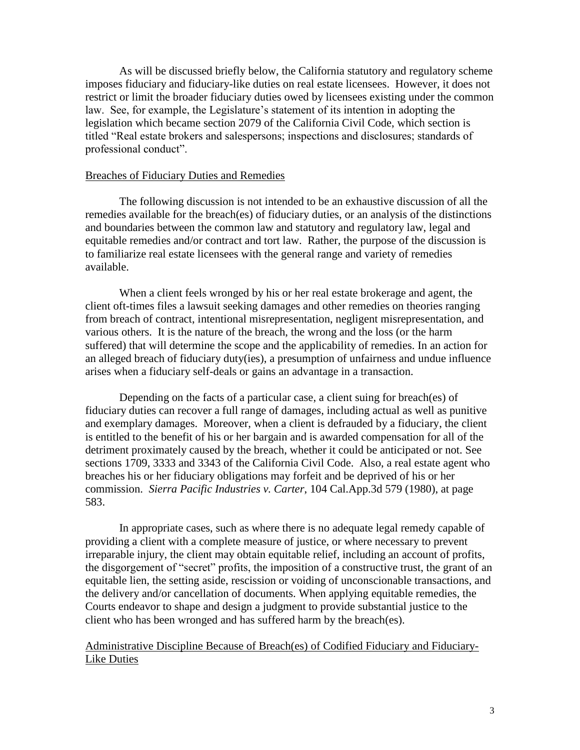As will be discussed briefly below, the California statutory and regulatory scheme imposes fiduciary and fiduciary-like duties on real estate licensees. However, it does not restrict or limit the broader fiduciary duties owed by licensees existing under the common law. See, for example, the Legislature's statement of its intention in adopting the legislation which became section 2079 of the California Civil Code, which section is titled "Real estate brokers and salespersons; inspections and disclosures; standards of professional conduct".

## Breaches of Fiduciary Duties and Remedies

The following discussion is not intended to be an exhaustive discussion of all the remedies available for the breach(es) of fiduciary duties, or an analysis of the distinctions and boundaries between the common law and statutory and regulatory law, legal and equitable remedies and/or contract and tort law. Rather, the purpose of the discussion is to familiarize real estate licensees with the general range and variety of remedies available.

When a client feels wronged by his or her real estate brokerage and agent, the client oft-times files a lawsuit seeking damages and other remedies on theories ranging from breach of contract, intentional misrepresentation, negligent misrepresentation, and various others. It is the nature of the breach, the wrong and the loss (or the harm suffered) that will determine the scope and the applicability of remedies. In an action for an alleged breach of fiduciary duty(ies), a presumption of unfairness and undue influence arises when a fiduciary self-deals or gains an advantage in a transaction.

Depending on the facts of a particular case, a client suing for breach(es) of fiduciary duties can recover a full range of damages, including actual as well as punitive and exemplary damages. Moreover, when a client is defrauded by a fiduciary, the client is entitled to the benefit of his or her bargain and is awarded compensation for all of the detriment proximately caused by the breach, whether it could be anticipated or not. See sections 1709, 3333 and 3343 of the California Civil Code. Also, a real estate agent who breaches his or her fiduciary obligations may forfeit and be deprived of his or her commission. *Sierra Pacific Industries v. Carter*, 104 Cal.App.3d 579 (1980), at page 583.

In appropriate cases, such as where there is no adequate legal remedy capable of providing a client with a complete measure of justice, or where necessary to prevent irreparable injury, the client may obtain equitable relief, including an account of profits, the disgorgement of "secret" profits, the imposition of a constructive trust, the grant of an equitable lien, the setting aside, rescission or voiding of unconscionable transactions, and the delivery and/or cancellation of documents. When applying equitable remedies, the Courts endeavor to shape and design a judgment to provide substantial justice to the client who has been wronged and has suffered harm by the breach(es).

Administrative Discipline Because of Breach(es) of Codified Fiduciary and Fiduciary-Like Duties